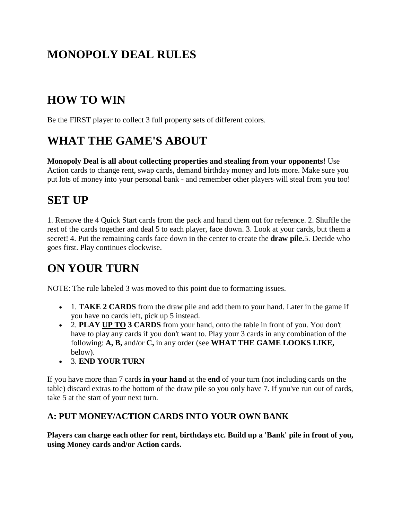# **MONOPOLY DEAL RULES**

# **HOW TO WIN**

Be the FIRST player to collect 3 full property sets of different colors.

# **WHAT THE GAME'S ABOUT**

**Monopoly Deal is all about collecting properties and stealing from your opponents!** Use Action cards to change rent, swap cards, demand birthday money and lots more. Make sure you put lots of money into your personal bank - and remember other players will steal from you too!

## **SET UP**

1. Remove the 4 Quick Start cards from the pack and hand them out for reference. 2. Shuffle the rest of the cards together and deal 5 to each player, face down. 3. Look at your cards, but them a secret! 4. Put the remaining cards face down in the center to create the **draw pile.**5. Decide who goes first. Play continues clockwise.

# **ON YOUR TURN**

NOTE: The rule labeled 3 was moved to this point due to formatting issues.

- 1. **TAKE 2 CARDS** from the draw pile and add them to your hand. Later in the game if you have no cards left, pick up 5 instead.
- 2. **PLAY UP TO 3 CARDS** from your hand, onto the table in front of you. You don't have to play any cards if you don't want to. Play your 3 cards in any combination of the following: **A, B,** and/or **C,** in any order (see **WHAT THE GAME LOOKS LIKE,** below).
- 3. **END YOUR TURN**

If you have more than 7 cards **in your hand** at the **end** of your turn (not including cards on the table) discard extras to the bottom of the draw pile so you only have 7. If you've run out of cards, take 5 at the start of your next turn.

### **A: PUT MONEY/ACTION CARDS INTO YOUR OWN BANK**

**Players can charge each other for rent, birthdays etc. Build up a 'Bank' pile in front of you, using Money cards and/or Action cards.**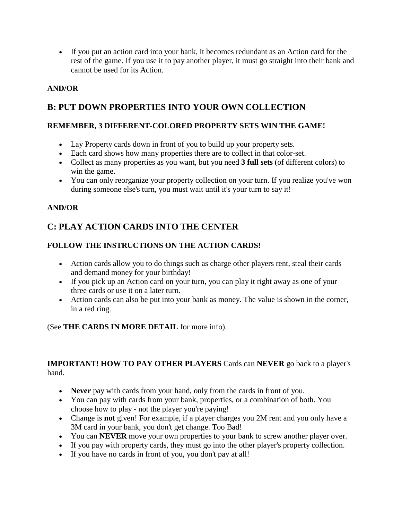• If you put an action card into your bank, it becomes redundant as an Action card for the rest of the game. If you use it to pay another player, it must go straight into their bank and cannot be used for its Action.

#### **AND/OR**

### **B: PUT DOWN PROPERTIES INTO YOUR OWN COLLECTION**

#### **REMEMBER, 3 DIFFERENT-COLORED PROPERTY SETS WIN THE GAME!**

- Lay Property cards down in front of you to build up your property sets.
- Each card shows how many properties there are to collect in that color-set.
- Collect as many properties as you want, but you need **3 full sets** (of different colors) to win the game.
- You can only reorganize your property collection on your turn. If you realize you've won during someone else's turn, you must wait until it's your turn to say it!

#### **AND/OR**

### **C: PLAY ACTION CARDS INTO THE CENTER**

### **FOLLOW THE INSTRUCTIONS ON THE ACTION CARDS!**

- Action cards allow you to do things such as charge other players rent, steal their cards and demand money for your birthday!
- If you pick up an Action card on your turn, you can play it right away as one of your three cards or use it on a later turn.
- Action cards can also be put into your bank as money. The value is shown in the corner, in a red ring.

#### (See **THE CARDS IN MORE DETAIL** for more info).

#### **IMPORTANT! HOW TO PAY OTHER PLAYERS** Cards can **NEVER** go back to a player's hand.

- **Never** pay with cards from your hand, only from the cards in front of you.
- You can pay with cards from your bank, properties, or a combination of both. You choose how to play - not the player you're paying!
- Change is **not** given! For example, if a player charges you 2M rent and you only have a 3M card in your bank, you don't get change. Too Bad!
- You can **NEVER** move your own properties to your bank to screw another player over.
- If you pay with property cards, they must go into the other player's property collection.
- If you have no cards in front of you, you don't pay at all!